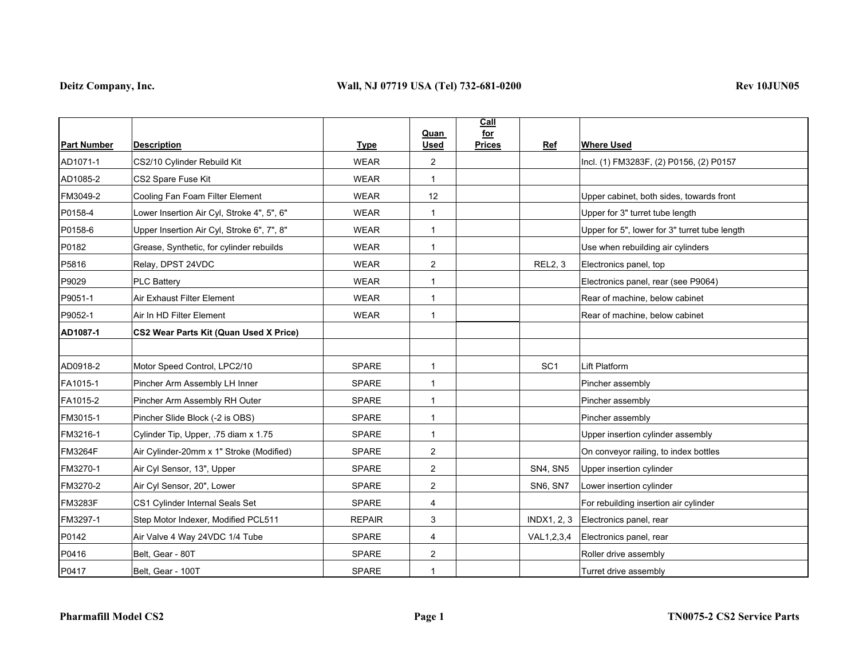|                    |                                            |               | Quan           | Call<br>for   |                 |                                               |
|--------------------|--------------------------------------------|---------------|----------------|---------------|-----------------|-----------------------------------------------|
| <b>Part Number</b> | <b>Description</b>                         | <b>Type</b>   | <b>Used</b>    | <b>Prices</b> | Ref             | <b>Where Used</b>                             |
| AD1071-1           | CS2/10 Cylinder Rebuild Kit                | <b>WEAR</b>   | $\overline{2}$ |               |                 | Incl. (1) FM3283F, (2) P0156, (2) P0157       |
| AD1085-2           | CS2 Spare Fuse Kit                         | <b>WEAR</b>   | $\mathbf{1}$   |               |                 |                                               |
| FM3049-2           | Cooling Fan Foam Filter Element            | <b>WEAR</b>   | 12             |               |                 | Upper cabinet, both sides, towards front      |
| P0158-4            | Lower Insertion Air Cyl, Stroke 4", 5", 6" | <b>WEAR</b>   | $\mathbf{1}$   |               |                 | Upper for 3" turret tube length               |
| P0158-6            | Upper Insertion Air Cyl, Stroke 6", 7", 8" | <b>WEAR</b>   | $\mathbf{1}$   |               |                 | Upper for 5", lower for 3" turret tube length |
| P0182              | Grease, Synthetic, for cylinder rebuilds   | <b>WEAR</b>   | $\mathbf{1}$   |               |                 | Use when rebuilding air cylinders             |
| P5816              | Relay, DPST 24VDC                          | <b>WEAR</b>   | 2              |               | <b>REL2, 3</b>  | Electronics panel, top                        |
| P9029              | <b>PLC Battery</b>                         | <b>WEAR</b>   | $\mathbf{1}$   |               |                 | Electronics panel, rear (see P9064)           |
| P9051-1            | Air Exhaust Filter Element                 | <b>WEAR</b>   | $\mathbf{1}$   |               |                 | Rear of machine, below cabinet                |
| P9052-1            | Air In HD Filter Element                   | <b>WEAR</b>   | $\mathbf{1}$   |               |                 | Rear of machine, below cabinet                |
| AD1087-1           | CS2 Wear Parts Kit (Quan Used X Price)     |               |                |               |                 |                                               |
|                    |                                            |               |                |               |                 |                                               |
| AD0918-2           | Motor Speed Control, LPC2/10               | SPARE         | $\mathbf{1}$   |               | SC <sub>1</sub> | Lift Platform                                 |
| FA1015-1           | Pincher Arm Assembly LH Inner              | <b>SPARE</b>  | $\mathbf{1}$   |               |                 | Pincher assembly                              |
| FA1015-2           | Pincher Arm Assembly RH Outer              | <b>SPARE</b>  | $\mathbf{1}$   |               |                 | Pincher assembly                              |
| FM3015-1           | Pincher Slide Block (-2 is OBS)            | <b>SPARE</b>  | $\mathbf{1}$   |               |                 | Pincher assembly                              |
| FM3216-1           | Cylinder Tip, Upper, .75 diam x 1.75       | SPARE         | $\mathbf{1}$   |               |                 | Upper insertion cylinder assembly             |
| <b>FM3264F</b>     | Air Cylinder-20mm x 1" Stroke (Modified)   | <b>SPARE</b>  | $\overline{c}$ |               |                 | On conveyor railing, to index bottles         |
| FM3270-1           | Air Cyl Sensor, 13", Upper                 | <b>SPARE</b>  | 2              |               | <b>SN4, SN5</b> | Upper insertion cylinder                      |
| FM3270-2           | Air Cyl Sensor, 20", Lower                 | <b>SPARE</b>  | 2              |               | SN6, SN7        | Lower insertion cylinder                      |
| <b>FM3283F</b>     | CS1 Cylinder Internal Seals Set            | <b>SPARE</b>  | 4              |               |                 | For rebuilding insertion air cylinder         |
| FM3297-1           | Step Motor Indexer, Modified PCL511        | <b>REPAIR</b> | 3              |               |                 | INDX1, 2, 3 Electronics panel, rear           |
| P0142              | Air Valve 4 Way 24VDC 1/4 Tube             | <b>SPARE</b>  | $\overline{4}$ |               | VAL1,2,3,4      | Electronics panel, rear                       |
| P0416              | Belt, Gear - 80T                           | <b>SPARE</b>  | $\overline{2}$ |               |                 | Roller drive assembly                         |
| P0417              | Belt, Gear - 100T                          | SPARE         | $\mathbf 1$    |               |                 | Turret drive assembly                         |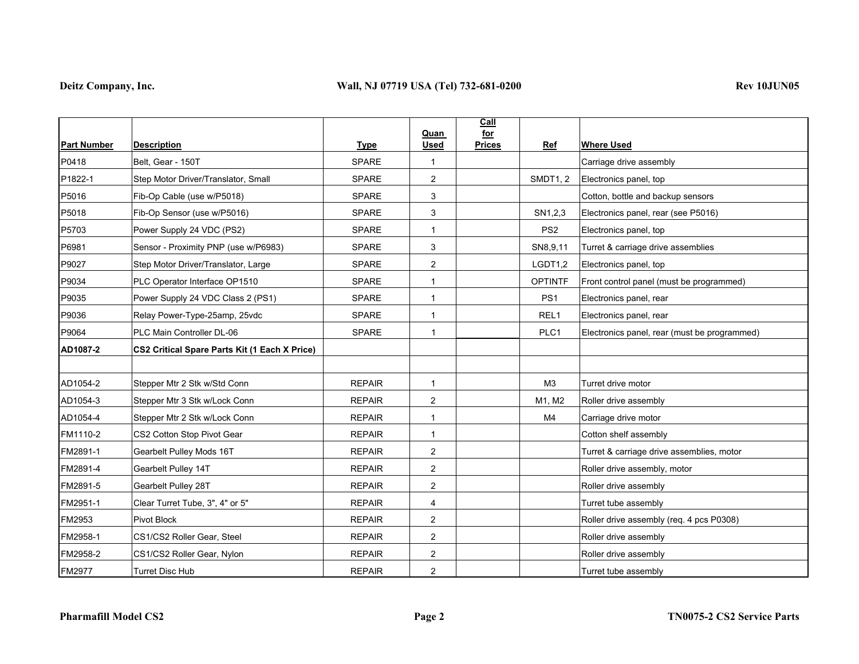|                    |                                                      |               | Quan           | Call<br>for          |                                              |
|--------------------|------------------------------------------------------|---------------|----------------|----------------------|----------------------------------------------|
| <b>Part Number</b> | <b>Description</b>                                   | <b>Type</b>   | <b>Used</b>    | <b>Prices</b><br>Ref | <b>Where Used</b>                            |
| P0418              | Belt, Gear - 150T                                    | <b>SPARE</b>  | $\mathbf{1}$   |                      | Carriage drive assembly                      |
| P1822-1            | Step Motor Driver/Translator, Small                  | <b>SPARE</b>  | 2              | <b>SMDT1, 2</b>      | Electronics panel, top                       |
| P5016              | Fib-Op Cable (use w/P5018)                           | <b>SPARE</b>  | 3              |                      | Cotton, bottle and backup sensors            |
| P5018              | Fib-Op Sensor (use w/P5016)                          | <b>SPARE</b>  | 3              | SN1,2,3              | Electronics panel, rear (see P5016)          |
| P5703              | Power Supply 24 VDC (PS2)                            | <b>SPARE</b>  | $\mathbf 1$    | PS <sub>2</sub>      | Electronics panel, top                       |
| P6981              | Sensor - Proximity PNP (use w/P6983)                 | <b>SPARE</b>  | 3              | SN8,9,11             | Turret & carriage drive assemblies           |
| P9027              | Step Motor Driver/Translator, Large                  | <b>SPARE</b>  | $\overline{2}$ | LGDT1,2              | Electronics panel, top                       |
| P9034              | PLC Operator Interface OP1510                        | <b>SPARE</b>  | $\mathbf{1}$   | <b>OPTINTF</b>       | Front control panel (must be programmed)     |
| P9035              | Power Supply 24 VDC Class 2 (PS1)                    | <b>SPARE</b>  | $\mathbf{1}$   | PS <sub>1</sub>      | Electronics panel, rear                      |
| P9036              | Relay Power-Type-25amp, 25vdc                        | SPARE         | $\mathbf{1}$   | REL <sub>1</sub>     | Electronics panel, rear                      |
| P9064              | PLC Main Controller DL-06                            | <b>SPARE</b>  | $\mathbf{1}$   | PLC1                 | Electronics panel, rear (must be programmed) |
| AD1087-2           | <b>CS2 Critical Spare Parts Kit (1 Each X Price)</b> |               |                |                      |                                              |
|                    |                                                      |               |                |                      |                                              |
| AD1054-2           | Stepper Mtr 2 Stk w/Std Conn                         | <b>REPAIR</b> | $\mathbf{1}$   | M <sub>3</sub>       | Turret drive motor                           |
| AD1054-3           | Stepper Mtr 3 Stk w/Lock Conn                        | <b>REPAIR</b> | $\overline{2}$ | M1, M2               | Roller drive assembly                        |
| AD1054-4           | Stepper Mtr 2 Stk w/Lock Conn                        | <b>REPAIR</b> | $\mathbf{1}$   | M4                   | Carriage drive motor                         |
| FM1110-2           | CS2 Cotton Stop Pivot Gear                           | <b>REPAIR</b> | -1             |                      | Cotton shelf assembly                        |
| FM2891-1           | Gearbelt Pulley Mods 16T                             | <b>REPAIR</b> | $\overline{2}$ |                      | Turret & carriage drive assemblies, motor    |
| FM2891-4           | Gearbelt Pulley 14T                                  | <b>REPAIR</b> | $\overline{2}$ |                      | Roller drive assembly, motor                 |
| FM2891-5           | Gearbelt Pulley 28T                                  | <b>REPAIR</b> | $\overline{2}$ |                      | Roller drive assembly                        |
| FM2951-1           | Clear Turret Tube, 3", 4" or 5"                      | <b>REPAIR</b> | 4              |                      | Turret tube assembly                         |
| FM2953             | Pivot Block                                          | <b>REPAIR</b> | $\overline{2}$ |                      | Roller drive assembly (req. 4 pcs P0308)     |
| FM2958-1           | CS1/CS2 Roller Gear, Steel                           | <b>REPAIR</b> | $\overline{2}$ |                      | Roller drive assembly                        |
| FM2958-2           | CS1/CS2 Roller Gear, Nylon                           | <b>REPAIR</b> | $\overline{2}$ |                      | Roller drive assembly                        |
| FM2977             | Turret Disc Hub                                      | <b>REPAIR</b> | $\overline{2}$ |                      | Turret tube assembly                         |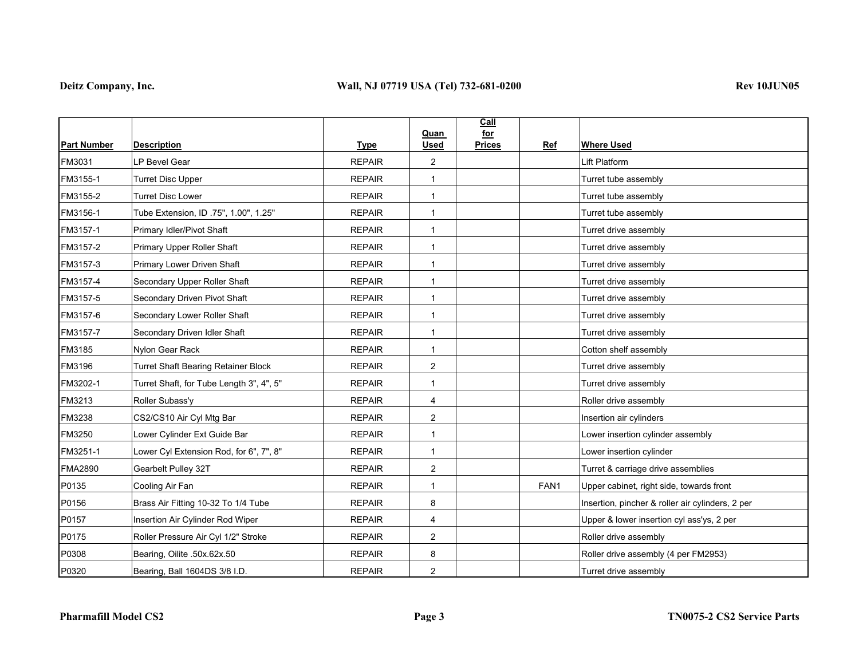|                    |                                            |               | Quan                    | Call<br>for   |      |                                                  |
|--------------------|--------------------------------------------|---------------|-------------------------|---------------|------|--------------------------------------------------|
| <b>Part Number</b> | <b>Description</b>                         | <b>Type</b>   | <b>Used</b>             | <b>Prices</b> | Ref  | <b>Where Used</b>                                |
| FM3031             | LP Bevel Gear                              | <b>REPAIR</b> | $\overline{2}$          |               |      | Lift Platform                                    |
| FM3155-1           | <b>Turret Disc Upper</b>                   | <b>REPAIR</b> | 1                       |               |      | Turret tube assembly                             |
| FM3155-2           | <b>Turret Disc Lower</b>                   | <b>REPAIR</b> | $\mathbf{1}$            |               |      | Turret tube assembly                             |
| FM3156-1           | Tube Extension, ID .75", 1.00", 1.25"      | <b>REPAIR</b> | $\mathbf 1$             |               |      | Turret tube assembly                             |
| FM3157-1           | Primary Idler/Pivot Shaft                  | <b>REPAIR</b> | $\mathbf{1}$            |               |      | Turret drive assembly                            |
| FM3157-2           | Primary Upper Roller Shaft                 | <b>REPAIR</b> | $\mathbf{1}$            |               |      | Turret drive assembly                            |
| FM3157-3           | Primary Lower Driven Shaft                 | <b>REPAIR</b> | $\mathbf{1}$            |               |      | Turret drive assembly                            |
| FM3157-4           | Secondary Upper Roller Shaft               | <b>REPAIR</b> | 1                       |               |      | Turret drive assembly                            |
| FM3157-5           | Secondary Driven Pivot Shaft               | <b>REPAIR</b> | 1                       |               |      | Turret drive assembly                            |
| FM3157-6           | Secondary Lower Roller Shaft               | <b>REPAIR</b> | $\mathbf{1}$            |               |      | Turret drive assembly                            |
| FM3157-7           | Secondary Driven Idler Shaft               | <b>REPAIR</b> | $\mathbf{1}$            |               |      | Turret drive assembly                            |
| FM3185             | Nylon Gear Rack                            | <b>REPAIR</b> | $\mathbf 1$             |               |      | Cotton shelf assembly                            |
| FM3196             | <b>Turret Shaft Bearing Retainer Block</b> | <b>REPAIR</b> | $\overline{2}$          |               |      | Turret drive assembly                            |
| FM3202-1           | Turret Shaft, for Tube Length 3", 4", 5"   | <b>REPAIR</b> | 1                       |               |      | Turret drive assembly                            |
| FM3213             | Roller Subass'y                            | <b>REPAIR</b> | 4                       |               |      | Roller drive assembly                            |
| FM3238             | CS2/CS10 Air Cyl Mtg Bar                   | <b>REPAIR</b> | $\overline{\mathbf{c}}$ |               |      | Insertion air cylinders                          |
| FM3250             | Lower Cylinder Ext Guide Bar               | <b>REPAIR</b> | $\mathbf{1}$            |               |      | Lower insertion cylinder assembly                |
| FM3251-1           | Lower Cyl Extension Rod, for 6", 7", 8"    | <b>REPAIR</b> | $\mathbf{1}$            |               |      | Lower insertion cylinder                         |
| <b>FMA2890</b>     | Gearbelt Pulley 32T                        | <b>REPAIR</b> | 2                       |               |      | Turret & carriage drive assemblies               |
| P0135              | Cooling Air Fan                            | <b>REPAIR</b> | 1                       |               | FAN1 | Upper cabinet, right side, towards front         |
| P0156              | Brass Air Fitting 10-32 To 1/4 Tube        | <b>REPAIR</b> | 8                       |               |      | Insertion, pincher & roller air cylinders, 2 per |
| P0157              | Insertion Air Cylinder Rod Wiper           | <b>REPAIR</b> | 4                       |               |      | Upper & lower insertion cyl ass'ys, 2 per        |
| P0175              | Roller Pressure Air Cyl 1/2" Stroke        | <b>REPAIR</b> | $\overline{2}$          |               |      | Roller drive assembly                            |
| P0308              | Bearing, Oilite .50x.62x.50                | <b>REPAIR</b> | 8                       |               |      | Roller drive assembly (4 per FM2953)             |
| P0320              | Bearing, Ball 1604DS 3/8 I.D.              | <b>REPAIR</b> | $\overline{2}$          |               |      | Turret drive assembly                            |